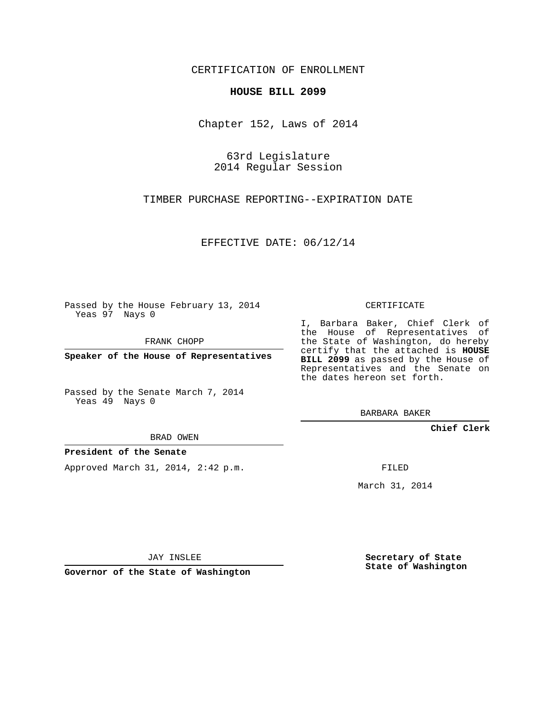## CERTIFICATION OF ENROLLMENT

## **HOUSE BILL 2099**

Chapter 152, Laws of 2014

63rd Legislature 2014 Regular Session

TIMBER PURCHASE REPORTING--EXPIRATION DATE

EFFECTIVE DATE: 06/12/14

Passed by the House February 13, 2014 Yeas 97 Nays 0

FRANK CHOPP

**Speaker of the House of Representatives**

Passed by the Senate March 7, 2014 Yeas 49 Nays 0

BRAD OWEN

## **President of the Senate**

Approved March 31, 2014, 2:42 p.m.

CERTIFICATE

I, Barbara Baker, Chief Clerk of the House of Representatives of the State of Washington, do hereby certify that the attached is **HOUSE BILL 2099** as passed by the House of Representatives and the Senate on the dates hereon set forth.

BARBARA BAKER

**Chief Clerk**

FILED

March 31, 2014

JAY INSLEE

**Governor of the State of Washington**

**Secretary of State State of Washington**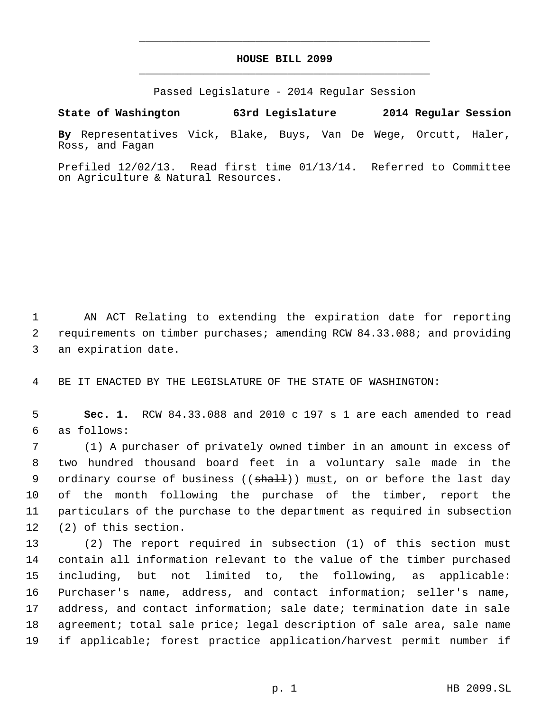## **HOUSE BILL 2099** \_\_\_\_\_\_\_\_\_\_\_\_\_\_\_\_\_\_\_\_\_\_\_\_\_\_\_\_\_\_\_\_\_\_\_\_\_\_\_\_\_\_\_\_\_

\_\_\_\_\_\_\_\_\_\_\_\_\_\_\_\_\_\_\_\_\_\_\_\_\_\_\_\_\_\_\_\_\_\_\_\_\_\_\_\_\_\_\_\_\_

Passed Legislature - 2014 Regular Session

**State of Washington 63rd Legislature 2014 Regular Session**

**By** Representatives Vick, Blake, Buys, Van De Wege, Orcutt, Haler, Ross, and Fagan

Prefiled 12/02/13. Read first time 01/13/14. Referred to Committee on Agriculture & Natural Resources.

 AN ACT Relating to extending the expiration date for reporting requirements on timber purchases; amending RCW 84.33.088; and providing an expiration date.

BE IT ENACTED BY THE LEGISLATURE OF THE STATE OF WASHINGTON:

 **Sec. 1.** RCW 84.33.088 and 2010 c 197 s 1 are each amended to read as follows:

 (1) A purchaser of privately owned timber in an amount in excess of two hundred thousand board feet in a voluntary sale made in the 9 ordinary course of business ((shall)) must, on or before the last day of the month following the purchase of the timber, report the particulars of the purchase to the department as required in subsection (2) of this section.

 (2) The report required in subsection (1) of this section must contain all information relevant to the value of the timber purchased including, but not limited to, the following, as applicable: Purchaser's name, address, and contact information; seller's name, address, and contact information; sale date; termination date in sale agreement; total sale price; legal description of sale area, sale name if applicable; forest practice application/harvest permit number if